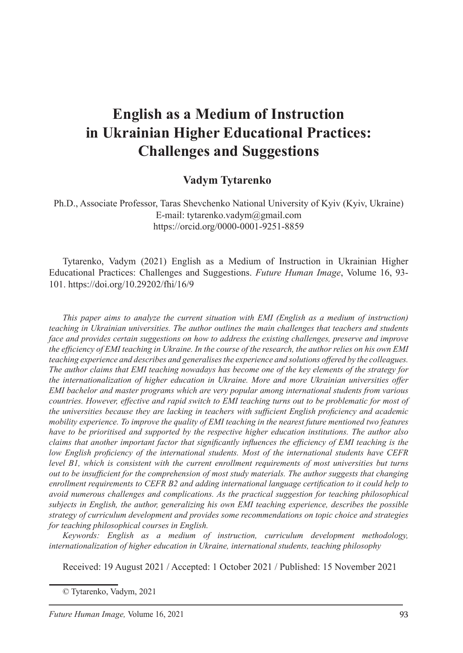# **English as a Medium of Instruction in Ukrainian Higher Educational Practices: Challenges and Suggestions**

# **Vadym Tytarenko**

Ph.D., Associate Professor, Taras Shevchenko National University of Kyiv (Kyiv, Ukraine) E-mail: tytarenko.vadym@gmail.com https://orcid.org/0000-0001-9251-8859

Tytarenko, Vadym (2021) English as a Medium of Instruction in Ukrainian Higher Educational Practices: Challenges and Suggestions. *Future Human Image*, Volume 16, 93- 101. https://doi.org/10.29202/fhi/16/9

*This paper aims to analyze the current situation with EMI (English as a medium of instruction) teaching in Ukrainian universities. The author outlines the main challenges that teachers and students face and provides certain suggestions on how to address the existing challenges, preserve and improve the efficiency of EMI teaching in Ukraine. In the course of the research, the author relies on his own EMI teaching experience and describes and generalises the experience and solutions offered by the colleagues. The author claims that EMI teaching nowadays has become one of the key elements of the strategy for the internationalization of higher education in Ukraine. More and more Ukrainian universities offer EMI bachelor and master programs which are very popular among international students from various countries. However, effective and rapid switch to EMI teaching turns out to be problematic for most of the universities because they are lacking in teachers with sufficient English proficiency and academic mobility experience. To improve the quality of EMI teaching in the nearest future mentioned two features have to be prioritised and supported by the respective higher education institutions. The author also claims that another important factor that significantly influences the efficiency of EMI teaching is the low English proficiency of the international students. Most of the international students have CEFR level B1, which is consistent with the current enrollment requirements of most universities but turns out to be insufficient for the comprehension of most study materials. The author suggests that changing enrollment requirements to CEFR B2 and adding international language certification to it could help to avoid numerous challenges and complications. As the practical suggestion for teaching philosophical subjects in English, the author, generalizing his own EMI teaching experience, describes the possible strategy of curriculum development and provides some recommendations on topic choice and strategies for teaching philosophical courses in English.*

*Keywords: English as a medium of instruction, curriculum development methodology, internationalization of higher education in Ukraine, international students, teaching philosophy*

Received: 19 August 2021 / Accepted: 1 October 2021 / Published: 15 November 2021

© Tytarenko, Vadym, 2021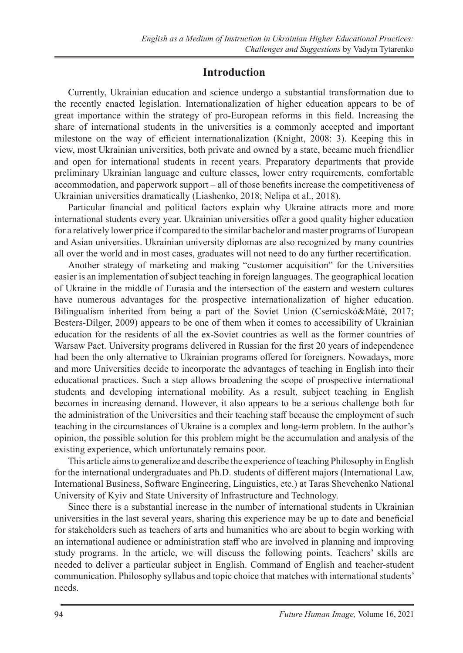# **Introduction**

Currently, Ukrainian education and science undergo a substantial transformation due to the recently enacted legislation. Internationalization of higher education appears to be of great importance within the strategy of pro-European reforms in this field. Increasing the share of international students in the universities is a commonly accepted and important milestone on the way of efficient internationalization (Knight, 2008: 3). Keeping this in view, most Ukrainian universities, both private and owned by a state, became much friendlier and open for international students in recent years. Preparatory departments that provide preliminary Ukrainian language and culture classes, lower entry requirements, comfortable accommodation, and paperwork support – all of those benefits increase the competitiveness of Ukrainian universities dramatically (Liashenko, 2018; Nelipa et al., 2018).

Particular financial and political factors explain why Ukraine attracts more and more international students every year. Ukrainian universities offer a good quality higher education for a relatively lower price if compared to the similar bachelor and master programs of European and Asian universities. Ukrainian university diplomas are also recognized by many countries all over the world and in most cases, graduates will not need to do any further recertification.

Another strategy of marketing and making "customer acquisition" for the Universities easier is an implementation of subject teaching in foreign languages. The geographical location of Ukraine in the middle of Eurasia and the intersection of the eastern and western cultures have numerous advantages for the prospective internationalization of higher education. Bilingualism inherited from being a part of the Soviet Union (Csernicskó&Máté, 2017; Besters-Dilger, 2009) appears to be one of them when it comes to accessibility of Ukrainian education for the residents of all the ex-Soviet countries as well as the former countries of Warsaw Pact. University programs delivered in Russian for the first 20 years of independence had been the only alternative to Ukrainian programs offered for foreigners. Nowadays, more and more Universities decide to incorporate the advantages of teaching in English into their educational practices. Such a step allows broadening the scope of prospective international students and developing international mobility. As a result, subject teaching in English becomes in increasing demand. However, it also appears to be a serious challenge both for the administration of the Universities and their teaching staff because the employment of such teaching in the circumstances of Ukraine is a complex and long-term problem. In the author's opinion, the possible solution for this problem might be the accumulation and analysis of the existing experience, which unfortunately remains poor.

This article aims to generalize and describe the experience of teaching Philosophy in English for the international undergraduates and Ph.D. students of different majors (International Law, International Business, Software Engineering, Linguistics, etc.) at Taras Shevchenko National University of Kyiv and State University of Infrastructure and Technology.

Since there is a substantial increase in the number of international students in Ukrainian universities in the last several years, sharing this experience may be up to date and beneficial for stakeholders such as teachers of arts and humanities who are about to begin working with an international audience or administration staff who are involved in planning and improving study programs. In the article, we will discuss the following points. Teachers' skills are needed to deliver a particular subject in English. Command of English and teacher-student communication. Philosophy syllabus and topic choice that matches with international students' needs.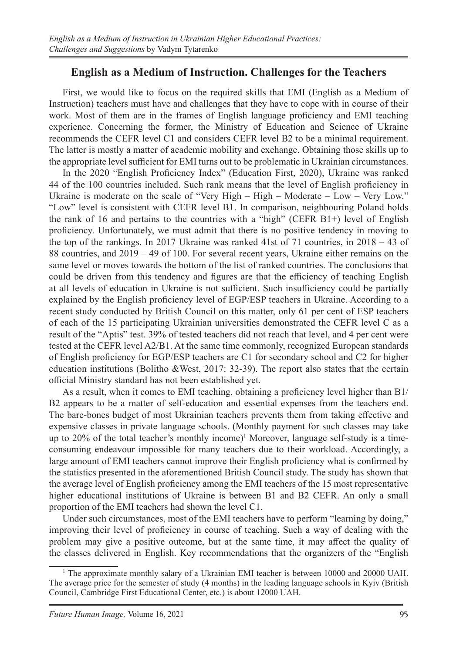## **English as a Medium of Instruction. Challenges for the Teachers**

First, we would like to focus on the required skills that EMI (English as a Medium of Instruction) teachers must have and challenges that they have to cope with in course of their work. Most of them are in the frames of English language proficiency and EMI teaching experience. Concerning the former, the Ministry of Education and Science of Ukraine recommends the CEFR level C1 and considers CEFR level B2 to be a minimal requirement. The latter is mostly a matter of academic mobility and exchange. Obtaining those skills up to the appropriate level sufficient for EMI turns out to be problematic in Ukrainian circumstances.

In the 2020 "English Proficiency Index" (Education First, 2020), Ukraine was ranked 44 of the 100 countries included. Such rank means that the level of English proficiency in Ukraine is moderate on the scale of "Very High – High – Moderate – Low – Very Low." "Low" level is consistent with CEFR level B1. In comparison, neighbouring Poland holds the rank of 16 and pertains to the countries with a "high" (CEFR B1+) level of English proficiency. Unfortunately, we must admit that there is no positive tendency in moving to the top of the rankings. In 2017 Ukraine was ranked 41st of 71 countries, in 2018 – 43 of 88 countries, and 2019 – 49 of 100. For several recent years, Ukraine either remains on the same level or moves towards the bottom of the list of ranked countries. The conclusions that could be driven from this tendency and figures are that the efficiency of teaching English at all levels of education in Ukraine is not sufficient. Such insufficiency could be partially explained by the English proficiency level of EGP/ESP teachers in Ukraine. According to a recent study conducted by British Council on this matter, only 61 per cent of ESP teachers of each of the 15 participating Ukrainian universities demonstrated the CEFR level C as a result of the "Aptis" test. 39% of tested teachers did not reach that level, and 4 per cent were tested at the CEFR level A2/B1. At the same time commonly, recognized European standards of English proficiency for EGP/ESP teachers are C1 for secondary school and C2 for higher education institutions (Bolitho &West, 2017: 32-39). The report also states that the certain official Ministry standard has not been established yet.

As a result, when it comes to EMI teaching, obtaining a proficiency level higher than B1/ B2 appears to be a matter of self-education and essential expenses from the teachers end. The bare-bones budget of most Ukrainian teachers prevents them from taking effective and expensive classes in private language schools. (Monthly payment for such classes may take up to 20% of the total teacher's monthly income)<sup>1</sup> Moreover, language self-study is a timeconsuming endeavour impossible for many teachers due to their workload. Accordingly, a large amount of EMI teachers cannot improve their English proficiency what is confirmed by the statistics presented in the aforementioned British Council study. The study has shown that the average level of English proficiency among the EMI teachers of the 15 most representative higher educational institutions of Ukraine is between B1 and B2 CEFR. An only a small proportion of the EMI teachers had shown the level C1.

Under such circumstances, most of the EMI teachers have to perform "learning by doing," improving their level of proficiency in course of teaching. Such a way of dealing with the problem may give a positive outcome, but at the same time, it may affect the quality of the classes delivered in English. Key recommendations that the organizers of the "English

<sup>&</sup>lt;sup>1</sup> The approximate monthly salary of a Ukrainian EMI teacher is between 10000 and 20000 UAH. The average price for the semester of study (4 months) in the leading language schools in Kyiv (British Council, Cambridge First Educational Center, etc.) is about 12000 UAH.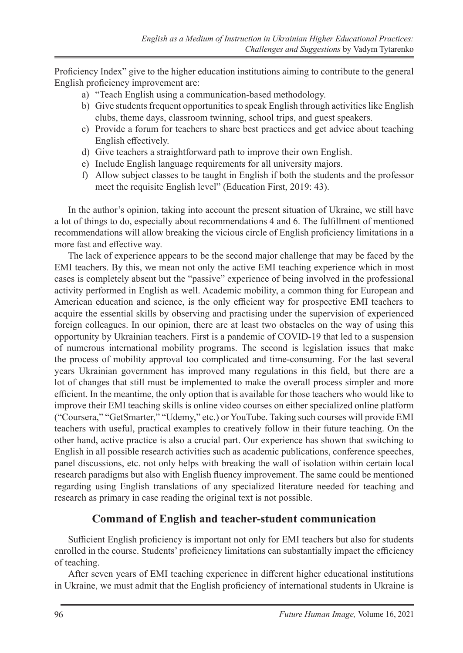Proficiency Index" give to the higher education institutions aiming to contribute to the general English proficiency improvement are:

- a) "Teach English using a communication-based methodology.
- b) Give students frequent opportunities to speak English through activities like English clubs, theme days, classroom twinning, school trips, and guest speakers.
- c) Provide a forum for teachers to share best practices and get advice about teaching English effectively.
- d) Give teachers a straightforward path to improve their own English.
- e) Include English language requirements for all university majors.
- f) Allow subject classes to be taught in English if both the students and the professor meet the requisite English level" (Education First, 2019: 43).

In the author's opinion, taking into account the present situation of Ukraine, we still have a lot of things to do, especially about recommendations 4 and 6. The fulfillment of mentioned recommendations will allow breaking the vicious circle of English proficiency limitations in a more fast and effective way.

The lack of experience appears to be the second major challenge that may be faced by the EMI teachers. By this, we mean not only the active EMI teaching experience which in most cases is completely absent but the "passive" experience of being involved in the professional activity performed in English as well. Academic mobility, a common thing for European and American education and science, is the only efficient way for prospective EMI teachers to acquire the essential skills by observing and practising under the supervision of experienced foreign colleagues. In our opinion, there are at least two obstacles on the way of using this opportunity by Ukrainian teachers. First is a pandemic of COVID-19 that led to a suspension of numerous international mobility programs. The second is legislation issues that make the process of mobility approval too complicated and time-consuming. For the last several years Ukrainian government has improved many regulations in this field, but there are a lot of changes that still must be implemented to make the overall process simpler and more efficient. In the meantime, the only option that is available for those teachers who would like to improve their EMI teaching skills is online video courses on either specialized online platform ("Coursera," "GetSmarter," "Udemy," etc.) or YouTube. Taking such courses will provide EMI teachers with useful, practical examples to creatively follow in their future teaching. On the other hand, active practice is also a crucial part. Our experience has shown that switching to English in all possible research activities such as academic publications, conference speeches, panel discussions, etc. not only helps with breaking the wall of isolation within certain local research paradigms but also with English fluency improvement. The same could be mentioned regarding using English translations of any specialized literature needed for teaching and research as primary in case reading the original text is not possible.

#### **Command of English and teacher-student communication**

Sufficient English proficiency is important not only for EMI teachers but also for students enrolled in the course. Students' proficiency limitations can substantially impact the efficiency of teaching.

After seven years of EMI teaching experience in different higher educational institutions in Ukraine, we must admit that the English proficiency of international students in Ukraine is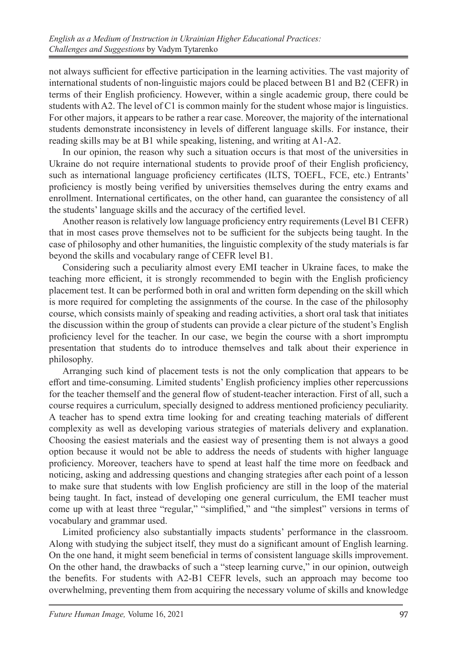not always sufficient for effective participation in the learning activities. The vast majority of international students of non-linguistic majors could be placed between B1 and B2 (CEFR) in terms of their English proficiency. However, within a single academic group, there could be students with A2. The level of C1 is common mainly for the student whose major is linguistics. For other majors, it appears to be rather a rear case. Moreover, the majority of the international students demonstrate inconsistency in levels of different language skills. For instance, their reading skills may be at B1 while speaking, listening, and writing at A1-A2.

In our opinion, the reason why such a situation occurs is that most of the universities in Ukraine do not require international students to provide proof of their English proficiency, such as international language proficiency certificates (ILTS, TOEFL, FCE, etc.) Entrants' proficiency is mostly being verified by universities themselves during the entry exams and enrollment. International certificates, on the other hand, can guarantee the consistency of all the students' language skills and the accuracy of the certified level.

Another reason is relatively low language proficiency entry requirements (Level B1 CEFR) that in most cases prove themselves not to be sufficient for the subjects being taught. In the case of philosophy and other humanities, the linguistic complexity of the study materials is far beyond the skills and vocabulary range of CEFR level B1.

Considering such a peculiarity almost every EMI teacher in Ukraine faces, to make the teaching more efficient, it is strongly recommended to begin with the English proficiency placement test. It can be performed both in oral and written form depending on the skill which is more required for completing the assignments of the course. In the case of the philosophy course, which consists mainly of speaking and reading activities, a short oral task that initiates the discussion within the group of students can provide a clear picture of the student's English proficiency level for the teacher. In our case, we begin the course with a short impromptu presentation that students do to introduce themselves and talk about their experience in philosophy.

Arranging such kind of placement tests is not the only complication that appears to be effort and time-consuming. Limited students' English proficiency implies other repercussions for the teacher themself and the general flow of student-teacher interaction. First of all, such a course requires a curriculum, specially designed to address mentioned proficiency peculiarity. A teacher has to spend extra time looking for and creating teaching materials of different complexity as well as developing various strategies of materials delivery and explanation. Choosing the easiest materials and the easiest way of presenting them is not always a good option because it would not be able to address the needs of students with higher language proficiency. Moreover, teachers have to spend at least half the time more on feedback and noticing, asking and addressing questions and changing strategies after each point of a lesson to make sure that students with low English proficiency are still in the loop of the material being taught. In fact, instead of developing one general curriculum, the EMI teacher must come up with at least three "regular," "simplified," and "the simplest" versions in terms of vocabulary and grammar used.

Limited proficiency also substantially impacts students' performance in the classroom. Along with studying the subject itself, they must do a significant amount of English learning. On the one hand, it might seem beneficial in terms of consistent language skills improvement. On the other hand, the drawbacks of such a "steep learning curve," in our opinion, outweigh the benefits. For students with A2-B1 CEFR levels, such an approach may become too overwhelming, preventing them from acquiring the necessary volume of skills and knowledge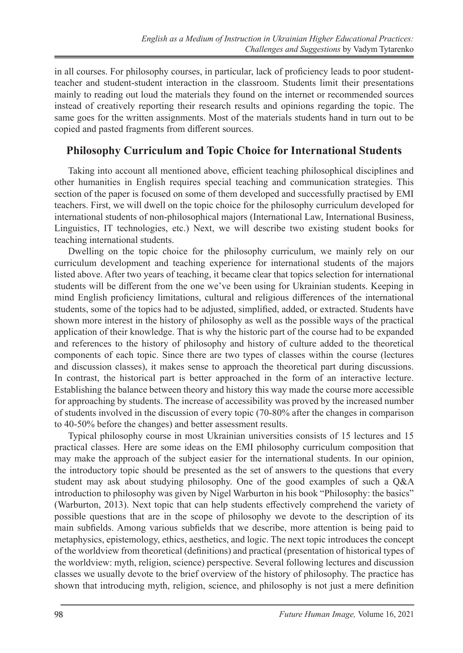in all courses. For philosophy courses, in particular, lack of proficiency leads to poor studentteacher and student-student interaction in the classroom. Students limit their presentations mainly to reading out loud the materials they found on the internet or recommended sources instead of creatively reporting their research results and opinions regarding the topic. The same goes for the written assignments. Most of the materials students hand in turn out to be copied and pasted fragments from different sources.

## **Philosophy Curriculum and Topic Choice for International Students**

Taking into account all mentioned above, efficient teaching philosophical disciplines and other humanities in English requires special teaching and communication strategies. This section of the paper is focused on some of them developed and successfully practised by EMI teachers. First, we will dwell on the topic choice for the philosophy curriculum developed for international students of non-philosophical majors (International Law, International Business, Linguistics, IT technologies, etc.) Next, we will describe two existing student books for teaching international students.

Dwelling on the topic choice for the philosophy curriculum, we mainly rely on our curriculum development and teaching experience for international students of the majors listed above. After two years of teaching, it became clear that topics selection for international students will be different from the one we've been using for Ukrainian students. Keeping in mind English proficiency limitations, cultural and religious differences of the international students, some of the topics had to be adjusted, simplified, added, or extracted. Students have shown more interest in the history of philosophy as well as the possible ways of the practical application of their knowledge. That is why the historic part of the course had to be expanded and references to the history of philosophy and history of culture added to the theoretical components of each topic. Since there are two types of classes within the course (lectures and discussion classes), it makes sense to approach the theoretical part during discussions. In contrast, the historical part is better approached in the form of an interactive lecture. Establishing the balance between theory and history this way made the course more accessible for approaching by students. The increase of accessibility was proved by the increased number of students involved in the discussion of every topic (70-80% after the changes in comparison to 40-50% before the changes) and better assessment results.

Typical philosophy course in most Ukrainian universities consists of 15 lectures and 15 practical classes. Here are some ideas on the EMI philosophy curriculum composition that may make the approach of the subject easier for the international students. In our opinion, the introductory topic should be presented as the set of answers to the questions that every student may ask about studying philosophy. One of the good examples of such a Q&A introduction to philosophy was given by Nigel Warburton in his book "Philosophy: the basics" (Warburton, 2013). Next topic that can help students effectively comprehend the variety of possible questions that are in the scope of philosophy we devote to the description of its main subfields. Among various subfields that we describe, more attention is being paid to metaphysics, epistemology, ethics, aesthetics, and logic. The next topic introduces the concept of the worldview from theoretical (definitions) and practical (presentation of historical types of the worldview: myth, religion, science) perspective. Several following lectures and discussion classes we usually devote to the brief overview of the history of philosophy. The practice has shown that introducing myth, religion, science, and philosophy is not just a mere definition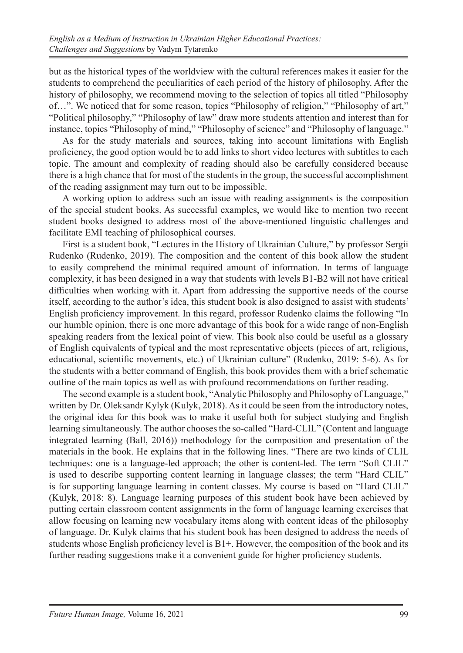but as the historical types of the worldview with the cultural references makes it easier for the students to comprehend the peculiarities of each period of the history of philosophy. After the history of philosophy, we recommend moving to the selection of topics all titled "Philosophy of…". We noticed that for some reason, topics "Philosophy of religion," "Philosophy of art," "Political philosophy," "Philosophy of law" draw more students attention and interest than for instance, topics "Philosophy of mind," "Philosophy of science" and "Philosophy of language."

As for the study materials and sources, taking into account limitations with English proficiency, the good option would be to add links to short video lectures with subtitles to each topic. The amount and complexity of reading should also be carefully considered because there is a high chance that for most of the students in the group, the successful accomplishment of the reading assignment may turn out to be impossible.

A working option to address such an issue with reading assignments is the composition of the special student books. As successful examples, we would like to mention two recent student books designed to address most of the above-mentioned linguistic challenges and facilitate EMI teaching of philosophical courses.

First is a student book, "Lectures in the History of Ukrainian Culture," by professor Sergii Rudenko (Rudenko, 2019). The composition and the content of this book allow the student to easily comprehend the minimal required amount of information. In terms of language complexity, it has been designed in a way that students with levels B1-B2 will not have critical difficulties when working with it. Apart from addressing the supportive needs of the course itself, according to the author's idea, this student book is also designed to assist with students' English proficiency improvement. In this regard, professor Rudenko claims the following "In our humble opinion, there is one more advantage of this book for a wide range of non-English speaking readers from the lexical point of view. This book also could be useful as a glossary of English equivalents of typical and the most representative objects (pieces of art, religious, educational, scientific movements, etc.) of Ukrainian culture" (Rudenko, 2019: 5-6). As for the students with a better command of English, this book provides them with a brief schematic outline of the main topics as well as with profound recommendations on further reading.

The second example is a student book, "Analytic Philosophy and Philosophy of Language," written by Dr. Oleksandr Kylyk (Kulyk, 2018). As it could be seen from the introductory notes, the original idea for this book was to make it useful both for subject studying and English learning simultaneously. The author chooses the so-called "Hard-CLIL" (Content and language integrated learning (Ball, 2016)) methodology for the composition and presentation of the materials in the book. He explains that in the following lines. "There are two kinds of CLIL techniques: one is a language-led approach; the other is content-led. The term "Soft CLIL" is used to describe supporting content learning in language classes; the term "Hard CLIL" is for supporting language learning in content classes. My course is based on "Hard CLIL" (Kulyk, 2018: 8). Language learning purposes of this student book have been achieved by putting certain classroom content assignments in the form of language learning exercises that allow focusing on learning new vocabulary items along with content ideas of the philosophy of language. Dr. Kulyk claims that his student book has been designed to address the needs of students whose English proficiency level is B1+. However, the composition of the book and its further reading suggestions make it a convenient guide for higher proficiency students.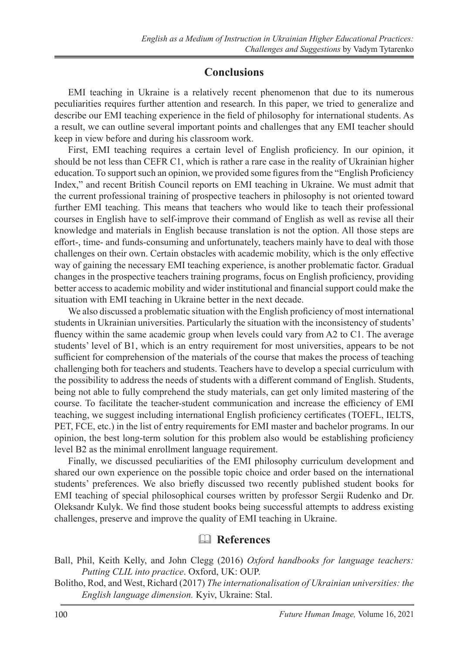## **Conclusions**

EMI teaching in Ukraine is a relatively recent phenomenon that due to its numerous peculiarities requires further attention and research. In this paper, we tried to generalize and describe our EMI teaching experience in the field of philosophy for international students. As a result, we can outline several important points and challenges that any EMI teacher should keep in view before and during his classroom work.

First, EMI teaching requires a certain level of English proficiency. In our opinion, it should be not less than CEFR C1, which is rather a rare case in the reality of Ukrainian higher education. To support such an opinion, we provided some figures from the "English Proficiency Index," and recent British Council reports on EMI teaching in Ukraine. We must admit that the current professional training of prospective teachers in philosophy is not oriented toward further EMI teaching. This means that teachers who would like to teach their professional courses in English have to self-improve their command of English as well as revise all their knowledge and materials in English because translation is not the option. All those steps are effort-, time- and funds-consuming and unfortunately, teachers mainly have to deal with those challenges on their own. Certain obstacles with academic mobility, which is the only effective way of gaining the necessary EMI teaching experience, is another problematic factor. Gradual changes in the prospective teachers training programs, focus on English proficiency, providing better access to academic mobility and wider institutional and financial support could make the situation with EMI teaching in Ukraine better in the next decade.

We also discussed a problematic situation with the English proficiency of most international students in Ukrainian universities. Particularly the situation with the inconsistency of students' fluency within the same academic group when levels could vary from A2 to C1. The average students' level of B1, which is an entry requirement for most universities, appears to be not sufficient for comprehension of the materials of the course that makes the process of teaching challenging both for teachers and students. Teachers have to develop a special curriculum with the possibility to address the needs of students with a different command of English. Students, being not able to fully comprehend the study materials, can get only limited mastering of the course. To facilitate the teacher-student communication and increase the efficiency of EMI teaching, we suggest including international English proficiency certificates (TOEFL, IELTS, PET, FCE, etc.) in the list of entry requirements for EMI master and bachelor programs. In our opinion, the best long-term solution for this problem also would be establishing proficiency level B2 as the minimal enrollment language requirement.

Finally, we discussed peculiarities of the EMI philosophy curriculum development and shared our own experience on the possible topic choice and order based on the international students' preferences. We also briefly discussed two recently published student books for EMI teaching of special philosophical courses written by professor Sergii Rudenko and Dr. Oleksandr Kulyk. We find those student books being successful attempts to address existing challenges, preserve and improve the quality of EMI teaching in Ukraine.

# & **References**

- Ball, Phil, Keith Kelly, and John Clegg (2016) *Oxford handbooks for language teachers: Putting CLIL into practice*. Oxford, UK: OUP.
- Bolitho, Rod, and West, Richard (2017) *The internationalisation of Ukrainian universities: the English language dimension.* Kyiv, Ukraine: Stal.